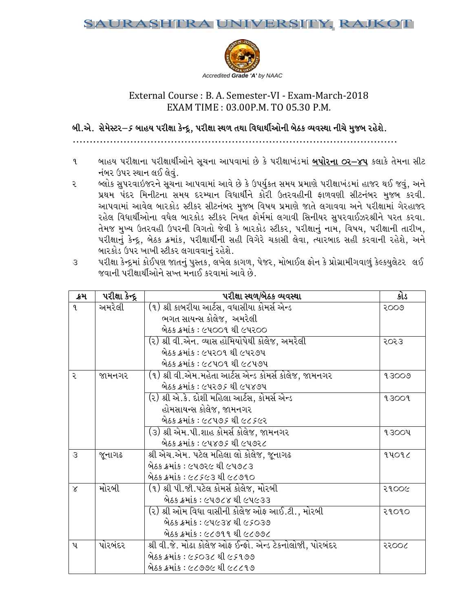

# External Course : B. A. Semester-VI - Exam-March-2018 EXAM M TIME : 0 03.00P.M. TO 05.30 P.M.

# બી.એ. સેમેસ્ટર $-\mathfrak{s}$  બાહય પરીક્ષા કેન્દ્ર, પરીક્ષા સ્થળ તથા વિધાર્થીઓની બેઠક વ્યવસ્થા નીચે મુજબ રહેશે.

PPPPPPPPP PPPPPPPPPPPPP PPPPPPPPPPPPP PPPPPPPPPPPPP PPPPPPPPPPPP . . . . . . . . . . . . . . . . . . . . . . . . . . . . . . . . . P

- ૧ બાહય પરીક્ષાના પરીક્ષાર્થીઓને સૂચના આપવામાં છે કે પરીક્ષાખંડમાં <u>**બપોરના ૦ર–૪૫** કલાકે</u> તેમના સીટ નંબર ઉપર સ્થાન લઈ લેવું.
- ૨ બ્લોક સુપરવાઇજરને સૂચના આપવામાં આવે છે કે ઉપર્યુકત સમય પ્રમાણે પરીક્ષાખંડમાં હાજર થઈ જવું, અને પ્રથમ પંદર મિનીટના સમય દરમ્યાન વિધાર્થીને કોરી ઉતરવહીની ફાળવણી સીટનંબર મુજબ કરવી. આપવામાં આવેલ બારકોડ સ્ટીકર સીટનંબર મુજબ વિષય પ્રમાણે જાતે લગાવવા અને પરીક્ષામાં ગેરહાજર રહેલ વિધાર્થીઓના વધેલ બારકોડ સ્ટીકર નિયત ફોર્મમાં લગાવી સિનીયર સુપરવાઈઝરશ્રીને પરત કરવા. તેમજ મુખ્ય ઉતરવહી ઉપરની વિગતો જેવી કે બારકોડ સ્ટીકર, પરીક્ષાનું નામ, વિષય, પરીક્ષાની તારીખ, પરીક્ષાનું કેન્દ્ર, બેઠક ક્રમાંક, પરીક્ષાર્થીની સહી વિગેરે ચકાસી લેવા, ત્યારબાદ સહી કરવાની રહેશે, અને બારકોડ ઉપર ખાખી સ્ટીકર લગાવવાનું રહેશે.
- ૩ પરીક્ષા કેન્દ્રમાં કોઈપણ જાતનું પુસ્તક, લખેલ કાગળ, પેજર, મોબાઈલ ફોન કે પ્રોગ્રામીગવાળું કેલ્કયુલેટર લઈ જવાની પરીક્ષાર્થીઓને સખ્ત મનાઈ કરવામાં આવે છે.

| ક્રમ          | પરીક્ષા કેન્દ્ર | પરીક્ષા સ્થળ/બેઠક વ્યવસ્થા                               | કોડ   |
|---------------|-----------------|----------------------------------------------------------|-------|
| 9             | અમરેલી          | (૧) શ્રી કાબરીયા આર્ટસ, વધાસીયા કોમર્સ એન્ડ              | २००७  |
|               |                 | ભગત સાયન્સ કોલેજ, અમરેલી                                 |       |
|               |                 | બેઠક ક્રમાંક : ૯૫૦૦૧ થી ૯૫૨૦૦                            |       |
|               |                 | (૨) શ્રી વી.એન. વ્યાસ હોમિયોપેથી કોલેજ, અમરેલી           | २०२३  |
|               |                 | બેઠક ક્રમાંક : ૯૫૨૦૧ થી ૯૫૨૭૫                            |       |
|               |                 | બેઠક ક્રમાંક : ૯૮૫૦૧ થી ૯૮૫૭૫                            |       |
| २             | જામનગર          | (૧) શ્રી વી.એમ.મહેતા આર્ટસ એન્ડ કોમર્સ કોલેજ, જામનગર     | 93009 |
|               |                 | બેઠક ક્રમાંક : ૯૫૨૭ <i>૬</i> થી ૯૫૪૭૫                    |       |
|               |                 | (૨) શ્રી એ.કે. દોશી મહિલા આર્ટસ, કોમર્સ એન્ડ             | 93009 |
|               |                 | હોમસાયન્સ કોલેજ, જામનગર                                  |       |
|               |                 | બેઠક ક્રમાંક : ૯૮૫૭૬ થી ૯૮૬૯૨                            |       |
|               |                 | (૩) શ્રી એમ.પી.શાહ કોમર્સ કોલેજ, જામનગર                  | 93004 |
|               |                 | બેઠક ક્રમાંક : ૯૫૪૭૬ થી ૯૫૭૨૮                            |       |
| $\mathcal{S}$ | જૂનાગઢ          | શ્રી એચ.એમ. પટેલ મહિલા લો કોલેજ, જૂનાગઢ                  | 94092 |
|               |                 | બેઠક ક્રમાંક : ૯૫૭૨૯ થી ૯૫૭૮૩                            |       |
|               |                 | બેઠક ક્રમાંક : ૯૮૬૯૩ થી ૯૮૭૧૦                            |       |
| $\times$      | મોરબી           | (૧) શ્રી પી.જી.પટેલ કોમર્સ કોલેજ, મોરબી                  | २१००૯ |
|               |                 | બેઠક ક્રમાંક : ૯૫૭૮૪ થી ૯૫૯૩૩                            |       |
|               |                 | (૨) શ્રી ઓમ વિધા વાસીની કોલેજ ઓફ આઈ.ટી., મોરબી           | २१०१० |
|               |                 | બેઠક ક્રમાંક : ૯૫૯૩૪ થી ૯૬૦૩૭                            |       |
|               |                 | બેઠક ક્રમાંક : ૯૮૭૧૧ થી ૯૮૭૭૮                            |       |
| પ             | પોરબંદર         | શ્રી વી.જે. મોઢા કોલેજ ઓફ ઈન્ફો. એન્ડ ટેકનોલોજી, પોરબંદર | ૨૨૦૦૮ |
|               |                 | બેઠક ક્રમાંક : ૯૬૦૩૮ થી ૯૬૧૭૭                            |       |
|               |                 | બેઠક ક્રમાંક : ૯૮૭૭૯ થી ૯૮૮૧૭                            |       |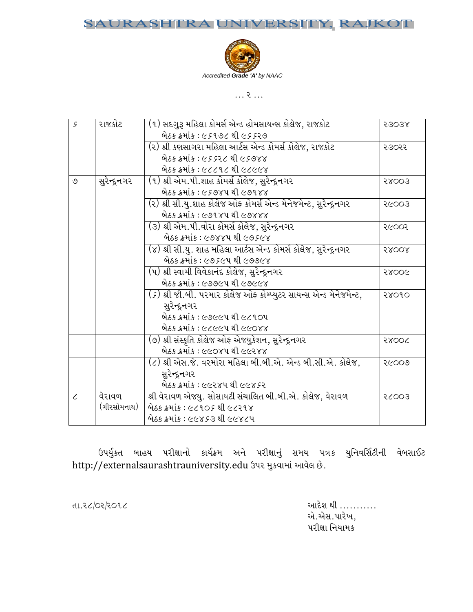### JRASI RA UNIVERSITY, RAJKOT SAl



 $P$ 

| 5          | રાજકોટ        | (૧) સદગુરૂ મહિલા કોમર્સ એન્ડ હોમસાયન્સ કોલેજ, રાજકોટ                             | 53038 |
|------------|---------------|----------------------------------------------------------------------------------|-------|
|            |               | બેઠક ક્રમાંક : ૯૬૧૭૮ થી ૯૬૬૨૭                                                    |       |
|            |               | (૨) શ્રી કણસાગરા મહિલા આર્ટસ એન્ડ કોમર્સ કોલેજ, રાજકોટ                           | २३०२२ |
|            |               | બેઠક ક્રમાંક : ૯૬૬૨૮ થી ૯૬૭૪૪                                                    |       |
|            |               | બેઠક ક્રમાંક : ૯૮૮૧૮ થી ૯૮૯૯૪                                                    |       |
| ৩          | સુરેન્દ્રનગર  | (૧) શ્રી એમ.પી.શાહ કોમર્સ કોલેજ, સુરેન્દ્રનગર                                    | 58003 |
|            |               | બેઠક ક્રમાંક : ૯૬૭૪૫ થી ૯૭૧૪૪                                                    |       |
|            |               | (૨) શ્રી સી.યુ.શાહ કોલેજ ઓફ કોમર્સ એન્ડ મેનેજમેન્ટ, સુરેન્દ્રનગર                 | २८००३ |
|            |               | બેઠક ક્રમાંક : ૯૭૧૪૫ થી ૯૭૪૪૪                                                    |       |
|            |               | (૩) શ્રી એમ.પી.વોરા કોમર્સ કોલેજ, સુરેન્દ્રનગર                                   | २૯००२ |
|            |               | બેઠક ક્રમાંક : ૯૭૪૪૫ થી ૯૭૬૯૪                                                    |       |
|            |               | (૪) શ્રી સી.યુ. શાહ મહિલા આર્ટસ એન્ડ કોમર્સ કોલેજ, સુરેન્દ્રનગર                  | 58008 |
|            |               | બેઠક ક્રમાંક : ૯૭૬૯૫ થી ૯૭૭૯૪                                                    |       |
|            |               | (૫) શ્રી સ્વામી વિવેકાનંદ કોલેજ, સુરેન્દ્રનગર                                    | 58006 |
|            |               | બેઠક ક્રમાંક : ૯૭૭૯૫ થી ૯૭૯૯૪                                                    |       |
|            |               | ( <i>૬</i> ) શ્રી જી.બી. પરમાર કોલેજ ઓફ કોમ્પ્યુટર સાયન્સ એન્ડ મેનેજમેન્ટ,       | २४०१० |
|            |               | સુરેન્દ્રનગર                                                                     |       |
|            |               | બેઠક ક્રમાંક : ૯૭૯૯૫ થી ૯૮૧૦૫                                                    |       |
|            |               | બેઠક ક્રમાંક : ૯૮૯૯૫ થી ૯૯૦૪૪                                                    |       |
|            |               | (૭) શ્રી સંસ્કૃતિ કોલેજ ઓફ એજયુકેશન, સુરેન્દ્રનગર                                | 28006 |
|            |               | બેઠક ક્રમાંક : ૯૯૦૪૫ થી ૯૯૨૪૪                                                    |       |
|            |               | (૮) શ્રી એસ.જે. વરમોરા મહિલા બી.બી.એ. એન્ડ બી.સી.એ. કોલેજ,                       | २૯००७ |
|            |               | સુરેન્દ્રનગર                                                                     |       |
|            |               | બેઠક ક્રમાંક : ૯૯૨૪૫ થી ૯૯૪ <i>૬</i> ૨                                           |       |
| $\epsilon$ | વેરાવળ        | શ્રી વેરાવળ એજયુ. સોસાયટી સંચાલિત બી.બી.એ. કોલેજ, વેરાવળ                         | 26003 |
|            | (ગીરસોમનાથ)   | બેઠક ક્રમાંક : ૯૮૧૦૬ થી ૯૮૨૧૪                                                    |       |
|            |               | બેઠક ક્રમાંક : ૯૯૪૬૩ થી ૯૯૪૮૫                                                    |       |
|            |               |                                                                                  |       |
|            |               |                                                                                  |       |
|            |               | ઉપર્યુકત બાહય પરીક્ષાનો કાર્યક્રમ અને પરીક્ષાનું સમય પત્રક યુનિવર્સિટીની વેબસાઈટ |       |
|            |               | http://externalsaurashtrauniversity.edu ઉપર મુકવામાં આવેલ છે.                    |       |
|            |               |                                                                                  |       |
|            |               |                                                                                  |       |
|            | તા.૨૮/૦૨/૨૦૧૮ | આદેશ થી …………                                                                     |       |
|            |               | એ.એસ.પારેખ,                                                                      |       |
|            |               | પરીક્ષા નિયામક                                                                   |       |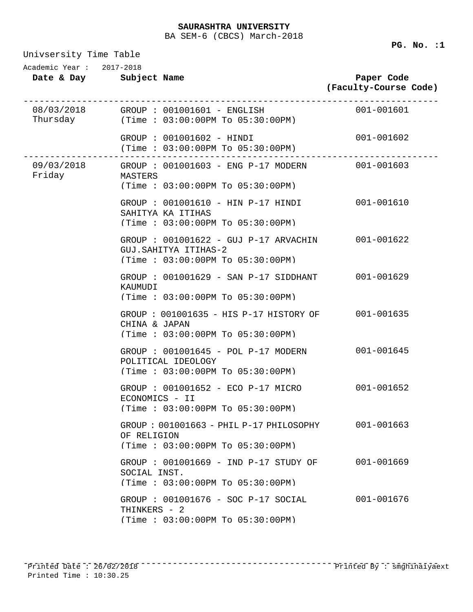Univsersity Time Table

**Date & Day Subject Name Paper Code (Faculty-Course Code)** Academic Year : 2017-2018 08/03/2018 ------------------------------------------------------------------------------ Thursday GROUP : 001001601 - ENGLISH 001-001601 (Time : 03:00:00PM To 05:30:00PM) GROUP : 001001602 - HINDI 001-001602 (Time : 03:00:00PM To 05:30:00PM) 09/03/2018 ------------------------------------------------------------------------------ Friday GROUP : 001001603 - ENG P-17 MODERN 001-001603 MASTERS (Time : 03:00:00PM To 05:30:00PM) GROUP : 001001610 - HIN P-17 HINDI 001-001610 SAHITYA KA ITIHAS (Time : 03:00:00PM To 05:30:00PM) GROUP : 001001622 - GUJ P-17 ARVACHIN 001-001622 GUJ.SAHITYA ITIHAS-2 (Time : 03:00:00PM To 05:30:00PM) GROUP : 001001629 - SAN P-17 SIDDHANT 001-001629 KAUMUDI (Time : 03:00:00PM To 05:30:00PM) GROUP : 001001635 - HIS P-17 HISTORY OF 001-001635 CHINA & JAPAN (Time : 03:00:00PM To 05:30:00PM) GROUP : 001001645 - POL P-17 MODERN 001-001645 POLITICAL IDEOLOGY (Time : 03:00:00PM To 05:30:00PM) GROUP : 001001652 - ECO P-17 MICRO 001-001652 ECONOMICS - II (Time : 03:00:00PM To 05:30:00PM) GROUP : 001001663 - PHIL P-17 PHILOSOPHY 001-001663 OF RELIGION (Time : 03:00:00PM To 05:30:00PM) GROUP : 001001669 - IND P-17 STUDY OF 001-001669 SOCIAL INST. (Time : 03:00:00PM To 05:30:00PM)

GROUP : 001001676 - SOC P-17 SOCIAL 001-001676 THINKERS - 2 (Time : 03:00:00PM To 05:30:00PM)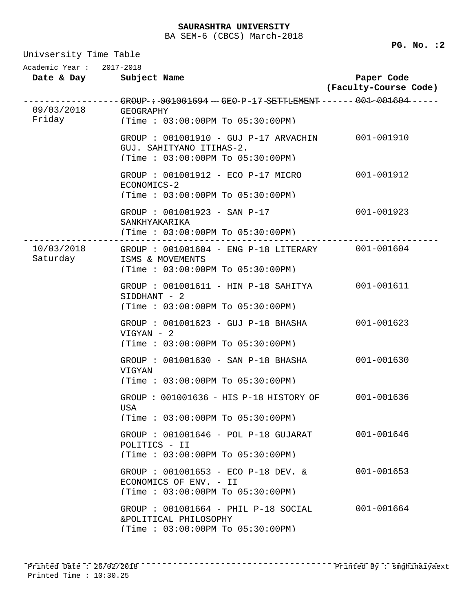### **SAURASHTRA UNIVERSITY**

BA SEM-6 (CBCS) March-2018

Univsersity Time Table **Date & Day Subject Name Paper Code (Faculty-Course Code)** Academic Year : 2017-2018 09/03/2018 ------------------------------------------------------------------------------ GROUP : 001001694 - GEO P-17 SETTLEMENT 001-001694 Friday GEOGRAPHY (Time : 03:00:00PM To 05:30:00PM) GROUP : 001001910 - GUJ P-17 ARVACHIN 001-001910 GUJ. SAHITYANO ITIHAS-2. (Time : 03:00:00PM To 05:30:00PM) GROUP : 001001912 - ECO P-17 MICRO 001-001912 ECONOMICS-2 (Time : 03:00:00PM To 05:30:00PM) GROUP : 001001923 - SAN P-17 001-001923 SANKHYAKARIKA (Time : 03:00:00PM To 05:30:00PM) 10/03/2018 ------------------------------------------------------------------------------ GROUP : 001001604 - ENG P-18 LITERARY 001-001604 Saturday ISMS & MOVEMENTS (Time : 03:00:00PM To 05:30:00PM) GROUP : 001001611 - HIN P-18 SAHITYA 001-001611 SIDDHANT - 2 (Time : 03:00:00PM To 05:30:00PM) GROUP : 001001623 - GUJ P-18 BHASHA 001-001623 VIGYAN - 2 (Time : 03:00:00PM To 05:30:00PM) GROUP : 001001630 - SAN P-18 BHASHA 001-001630 VIGYAN (Time : 03:00:00PM To 05:30:00PM) GROUP : 001001636 - HIS P-18 HISTORY OF 001-001636 USA (Time : 03:00:00PM To 05:30:00PM) GROUP : 001001646 - POL P-18 GUJARAT 001-001646 POLITICS - II (Time : 03:00:00PM To 05:30:00PM) GROUP : 001001653 - ECO P-18 DEV. & 001-001653 ECONOMICS OF ENV. - II (Time : 03:00:00PM To 05:30:00PM) GROUP : 001001664 - PHIL P-18 SOCIAL 001-001664 &POLITICAL PHILOSOPHY (Time : 03:00:00PM To 05:30:00PM)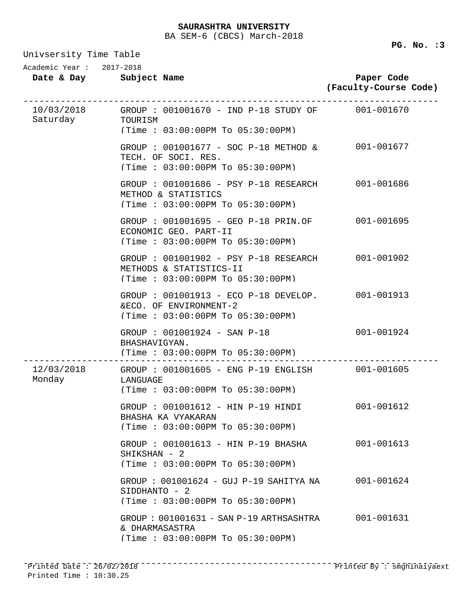Univsersity Time Table

| Academic Year: 2017-2018 |                                                                                                                                   |                                     |  |
|--------------------------|-----------------------------------------------------------------------------------------------------------------------------------|-------------------------------------|--|
|                          | Date & Day Subject Name                                                                                                           | Paper Code<br>(Faculty-Course Code) |  |
| Saturday TOURISM         | $10/03/2018$ GROUP : 001001670 - IND P-18 STUDY OF 001-001670<br>(Time: 03:00:00PM To 05:30:00PM)                                 |                                     |  |
|                          | GROUP : 001001677 - SOC P-18 METHOD & 001-001677<br>TECH. OF SOCI. RES.<br>(Time : 03:00:00PM TO 05:30:00PM)                      |                                     |  |
|                          | GROUP : 001001686 - PSY P-18 RESEARCH 001-001686<br>METHOD & STATISTICS<br>(Time: 03:00:00PM To 05:30:00PM)                       |                                     |  |
|                          | GROUP : 001001695 - GEO P-18 PRIN.OF<br>ECONOMIC GEO. PART-II<br>(Time: 03:00:00PM To 05:30:00PM)                                 | 001-001695                          |  |
|                          | GROUP : 001001902 - PSY P-18 RESEARCH 001-001902<br>METHODS & STATISTICS-II<br>(Time: 03:00:00PM To 05:30:00PM)                   |                                     |  |
|                          | GROUP : 001001913 - ECO P-18 DEVELOP. 001-001913<br>&ECO. OF ENVIRONMENT-2<br>(Time: 03:00:00PM To 05:30:00PM)                    |                                     |  |
|                          | GROUP : 001001924 - SAN P-18<br>BHASHAVIGYAN.<br>(Time: 03:00:00PM To 05:30:00PM)                                                 | 001-001924                          |  |
| Monday LANGUAGE          | --------------------------------<br>12/03/2018 GROUP: 001001605 - ENG P-19 ENGLISH 001-001605<br>(Time: 03:00:00PM To 05:30:00PM) |                                     |  |
|                          | GROUP: 001001612 - HIN P-19 HINDI<br>BHASHA KA VYAKARAN<br>(Time: 03:00:00PM To 05:30:00PM)                                       | 001-001612                          |  |
|                          | GROUP : 001001613 - HIN P-19 BHASHA<br>SHIKSHAN - 2<br>(Time: 03:00:00PM To 05:30:00PM)                                           | 001-001613                          |  |
|                          | GROUP: 001001624 - GUJ P-19 SAHITYA NA<br>SIDDHANTO - 2<br>(Time : 03:00:00PM T0 05:30:00PM)                                      | 001-001624                          |  |
|                          | GROUP: 001001631 - SAN P-19 ARTHSASHTRA<br>& DHARMASASTRA<br>(Time: 03:00:00PM To 05:30:00PM)                                     | 001-001631                          |  |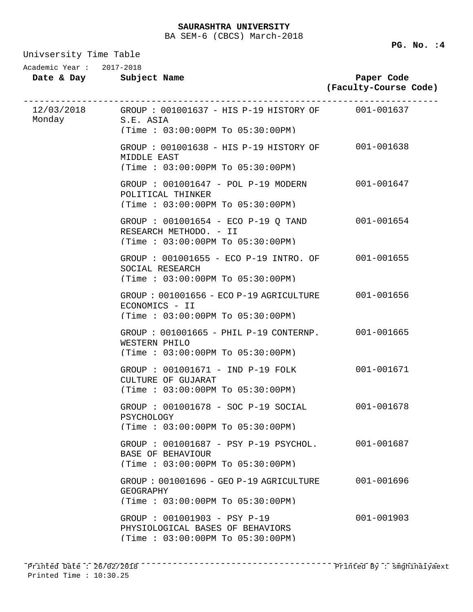Univsersity Time Table

**PG. No. :4** 

| Date & Day      | Subject Name |  |
|-----------------|--------------|--|
| Academic Year : | 2017-2018    |  |

**Paper Code (Faculty-Course Code)**

| Monday | 12/03/2018 GROUP: 001001637 - HIS P-19 HISTORY OF 001-001637<br>S.E. ASIA<br>(Time: 03:00:00PM To 05:30:00PM) |            |
|--------|---------------------------------------------------------------------------------------------------------------|------------|
|        | GROUP: 001001638 - HIS P-19 HISTORY OF 001-001638<br>MIDDLE EAST<br>(Time: 03:00:00PM To 05:30:00PM)          |            |
|        | GROUP : 001001647 - POL P-19 MODERN<br>POLITICAL THINKER<br>(Time: 03:00:00PM To 05:30:00PM)                  | 001-001647 |
|        | GROUP : 001001654 - ECO P-19 Q TAND 001-001654<br>RESEARCH METHODO. - II<br>(Time: 03:00:00PM To 05:30:00PM)  |            |
|        | GROUP : 001001655 - ECO P-19 INTRO. OF 001-001655<br>SOCIAL RESEARCH<br>(Time: 03:00:00PM To 05:30:00PM)      |            |
|        | GROUP: 001001656 - ECO P-19 AGRICULTURE 001-001656<br>ECONOMICS - II<br>(Time: 03:00:00PM To 05:30:00PM)      |            |
|        | GROUP: 001001665 - PHIL P-19 CONTERNP. 001-001665<br>WESTERN PHILO<br>(Time: 03:00:00PM To 05:30:00PM)        |            |
|        | GROUP : 001001671 - IND P-19 FOLK<br>CULTURE OF GUJARAT<br>(Time: 03:00:00PM To 05:30:00PM)                   | 001-001671 |
|        | GROUP : 001001678 - SOC P-19 SOCIAL<br>PSYCHOLOGY<br>(Time: 03:00:00PM To 05:30:00PM)                         | 001-001678 |
|        | GROUP : 001001687 - PSY P-19 PSYCHOL. 001-001687<br>BASE OF BEHAVIOUR<br>(Time: 03:00:00PM To 05:30:00PM)     |            |
|        | $GROUP: 001001696 - GEO P-19 AGRICULTURE$<br>GEOGRAPHY<br>(Time: 03:00:00PM To 05:30:00PM)                    | 001-001696 |
|        | GROUP : 001001903 - PSY P-19<br>PHYSIOLOGICAL BASES OF BEHAVIORS<br>(Time: 03:00:00PM To 05:30:00PM)          | 001-001903 |
|        |                                                                                                               |            |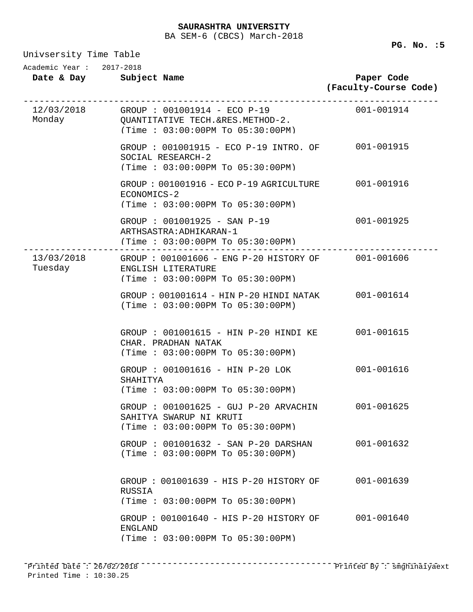Univsersity Time Table

| Academic Year: 2017-2018 | Date & Day Subject Name                                                                                                | Paper Code<br>(Faculty-Course Code) |
|--------------------------|------------------------------------------------------------------------------------------------------------------------|-------------------------------------|
| Monday                   | 12/03/2018 GROUP: 001001914 - ECO P-19<br>QUANTITATIVE TECH.&RES.METHOD-2.<br>(Time: 03:00:00PM To 05:30:00PM)         | $001 - 001914$                      |
|                          | GROUP : 001001915 - ECO P-19 INTRO. OF 001-001915<br>SOCIAL RESEARCH-2<br>(Time: 03:00:00PM To 05:30:00PM)             |                                     |
|                          | GROUP: 001001916 - ECO P-19 AGRICULTURE 001-001916<br>ECONOMICS-2<br>(Time: 03:00:00PM To 05:30:00PM)                  |                                     |
|                          | GROUP : 001001925 - SAN P-19<br>ARTHSASTRA: ADHIKARAN-1<br>(Time : 03:00:00PM To 05:30:00PM)                           | 001-001925                          |
| Tuesday                  | 13/03/2018 GROUP: 001001606 - ENG P-20 HISTORY OF 001-001606<br>ENGLISH LITERATURE<br>(Time: 03:00:00PM To 05:30:00PM) |                                     |
|                          | GROUP: 001001614 - HIN P-20 HINDI NATAK 001-001614<br>(Time : 03:00:00PM TO 05:30:00PM)                                |                                     |
|                          | GROUP: 001001615 - HIN P-20 HINDI KE<br>CHAR. PRADHAN NATAK<br>(Time: 03:00:00PM To 05:30:00PM)                        | 001-001615                          |
|                          | GROUP : 001001616 - HIN P-20 LOK<br>SHAHITYA<br>(Time: 03:00:00PM To 05:30:00PM)                                       | 001-001616                          |
|                          | GROUP: 001001625 - GUJ P-20 ARVACHIN 001-001625<br>SAHITYA SWARUP NI KRUTI<br>(Time : 03:00:00PM T0 05:30:00PM)        |                                     |
|                          | GROUP : 001001632 - SAN P-20 DARSHAN<br>(Time : 03:00:00PM T0 05:30:00PM)                                              | 001-001632                          |
|                          | $GROUP$ : 001001639 - HIS P-20 HISTORY OF<br>RUSSIA<br>(Time : 03:00:00PM T0 05:30:00PM)                               | 001-001639                          |
|                          | GROUP: 001001640 - HIS P-20 HISTORY OF<br>ENGLAND<br>(Time: 03:00:00PM To 05:30:00PM)                                  | 001-001640                          |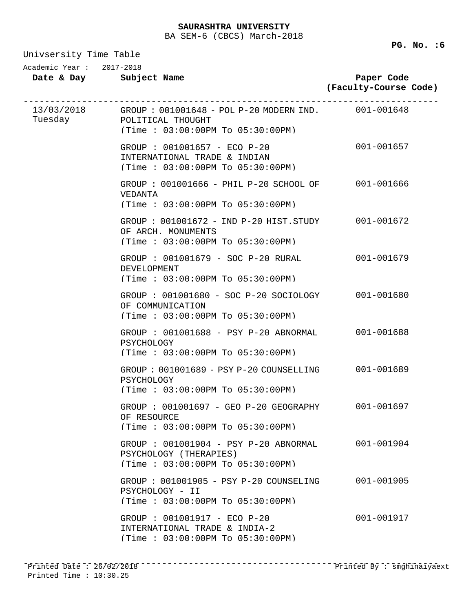Univsersity Time Table

| ourserprey rrme rante<br>Academic Year: 2017-2018 |                                                                                                                                 |                                     |  |  |
|---------------------------------------------------|---------------------------------------------------------------------------------------------------------------------------------|-------------------------------------|--|--|
|                                                   | Date & Day Subject Name                                                                                                         | Paper Code<br>(Faculty-Course Code) |  |  |
|                                                   | 13/03/2018 GROUP: 001001648 - POL P-20 MODERN IND. 001-001648<br>Tuesday POLITICAL THOUGHT<br>(Time : 03:00:00PM To 05:30:00PM) |                                     |  |  |
|                                                   | GROUP : 001001657 - ECO P-20<br>INTERNATIONAL TRADE & INDIAN<br>(Time: 03:00:00PM To 05:30:00PM)                                | 001-001657                          |  |  |
|                                                   | GROUP: 001001666 - PHIL P-20 SCHOOL OF 001-001666<br>VEDANTA<br>(Time: 03:00:00PM To 05:30:00PM)                                |                                     |  |  |
|                                                   | GROUP: 001001672 - IND P-20 HIST.STUDY 001-001672<br>OF ARCH. MONUMENTS<br>(Time : 03:00:00PM TO 05:30:00PM)                    |                                     |  |  |
|                                                   | GROUP: 001001679 - SOC P-20 RURAL<br><b>DEVELOPMENT</b><br>(Time: 03:00:00PM To 05:30:00PM)                                     | 001-001679                          |  |  |
|                                                   | $GROUP$ : $001001680$ - $SOC$ P-20 $SOCIOLOGY$<br>OF COMMUNICATION<br>(Time: 03:00:00PM To 05:30:00PM)                          | 001-001680                          |  |  |
|                                                   | GROUP : 001001688 - PSY P-20 ABNORMAL 001-001688<br>PSYCHOLOGY<br>(Time: 03:00:00PM To 05:30:00PM)                              |                                     |  |  |
|                                                   | GROUP: 001001689 - PSY P-20 COUNSELLING 001-001689<br>PSYCHOLOGY<br>(Time : 03:00:00PM T0 05:30:00PM)                           |                                     |  |  |
|                                                   | GROUP : 001001697 - GEO P-20 GEOGRAPHY<br>OF RESOURCE<br>(Time: 03:00:00PM To 05:30:00PM)                                       | 001-001697                          |  |  |
|                                                   | $GROUP$ : 001001904 - PSY P-20 ABNORMAL<br>PSYCHOLOGY (THERAPIES)<br>(Time: 03:00:00PM To 05:30:00PM)                           | 001-001904                          |  |  |
|                                                   | GROUP : 001001905 - PSY P-20 COUNSELING<br>PSYCHOLOGY - II<br>(Time: 03:00:00PM To 05:30:00PM)                                  | 001-001905                          |  |  |
|                                                   | GROUP : 001001917 - ECO P-20<br>INTERNATIONAL TRADE & INDIA-2<br>(Time: 03:00:00PM To 05:30:00PM)                               | 001-001917                          |  |  |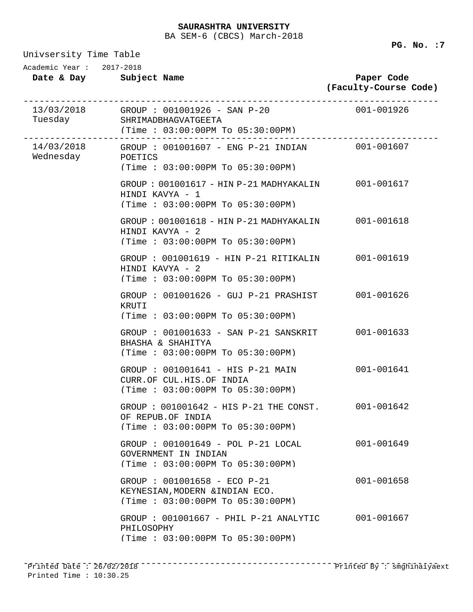Univsersity Time Table

**Date & Day Subject Name Paper Code (Faculty-Course Code)** Academic Year : 2017-2018 13/03/2018 ------------------------------------------------------------------------------ Tuesday GROUP : 001001926 - SAN P-20 SHRIMADBHAGVATGEETA (Time : 03:00:00PM To 05:30:00PM) 14/03/2018 ------------------------------------------------------------------------------ GROUP : 001001607 - ENG P-21 INDIAN 001-001607 Wednesday POETICS (Time : 03:00:00PM To 05:30:00PM) GROUP : 001001617 - HIN P-21 MADHYAKALIN 001-001617 HINDI KAVYA - 1 (Time : 03:00:00PM To 05:30:00PM) GROUP : 001001618 - HIN P-21 MADHYAKALIN 001-001618 HINDI KAVYA - 2 (Time : 03:00:00PM To 05:30:00PM) GROUP : 001001619 - HIN P-21 RITIKALIN 001-001619 HINDI KAVYA - 2 (Time : 03:00:00PM To 05:30:00PM) GROUP : 001001626 - GUJ P-21 PRASHIST 001-001626 KRUTI (Time : 03:00:00PM To 05:30:00PM) GROUP : 001001633 - SAN P-21 SANSKRIT 001-001633 BHASHA & SHAHITYA (Time : 03:00:00PM To 05:30:00PM) GROUP : 001001641 - HIS P-21 MAIN 001-001641 CURR.OF CUL.HIS.OF INDIA (Time : 03:00:00PM To 05:30:00PM) GROUP : 001001642 - HIS P-21 THE CONST. 001-001642 OF REPUB.OF INDIA (Time : 03:00:00PM To 05:30:00PM) GROUP : 001001649 - POL P-21 LOCAL 001-001649 GOVERNMENT IN INDIAN (Time : 03:00:00PM To 05:30:00PM) GROUP : 001001658 - ECO P-21 001-001658 KEYNESIAN,MODERN &INDIAN ECO. (Time : 03:00:00PM To 05:30:00PM) GROUP : 001001667 - PHIL P-21 ANALYTIC 001-001667 PHILOSOPHY (Time : 03:00:00PM To 05:30:00PM)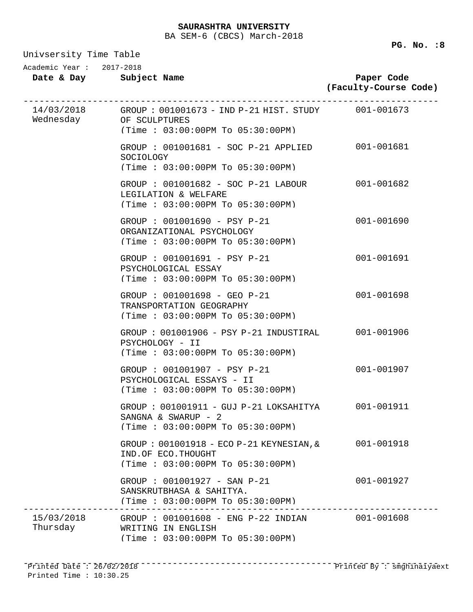Univsersity Time Table

**Date & Day Subject Name Paper Code (Faculty-Course Code)** Academic Year : 2017-2018 14/03/2018 ------------------------------------------------------------------------------ GROUP : 001001673 - IND P-21 HIST. STUDY 001-001673 Wednesday OF SCULPTURES (Time : 03:00:00PM To 05:30:00PM) GROUP : 001001681 - SOC P-21 APPLIED 001-001681 SOCIOLOGY (Time : 03:00:00PM To 05:30:00PM) GROUP : 001001682 - SOC P-21 LABOUR 001-001682 LEGILATION & WELFARE (Time : 03:00:00PM To 05:30:00PM) GROUP : 001001690 - PSY P-21 001-001690 ORGANIZATIONAL PSYCHOLOGY (Time : 03:00:00PM To 05:30:00PM) GROUP : 001001691 - PSY P-21 001-001691 PSYCHOLOGICAL ESSAY (Time : 03:00:00PM To 05:30:00PM) GROUP : 001001698 - GEO P-21 001-001698 TRANSPORTATION GEOGRAPHY (Time : 03:00:00PM To 05:30:00PM) GROUP : 001001906 - PSY P-21 INDUSTIRAL 001-001906 PSYCHOLOGY - II (Time : 03:00:00PM To 05:30:00PM) GROUP : 001001907 - PSY P-21 001-001907 PSYCHOLOGICAL ESSAYS - II (Time : 03:00:00PM To 05:30:00PM) GROUP : 001001911 - GUJ P-21 LOKSAHITYA 001-001911 SANGNA & SWARUP - 2 (Time : 03:00:00PM To 05:30:00PM) GROUP : 001001918 - ECO P-21 KEYNESIAN,& 001-001918 IND.OF ECO.THOUGHT (Time : 03:00:00PM To 05:30:00PM) GROUP : 001001927 - SAN P-21 001-001927 SANSKRUTBHASA & SAHITYA. (Time : 03:00:00PM To 05:30:00PM) 15/03/2018 ------------------------------------------------------------------------------ GROUP : 001001608 - ENG P-22 INDIAN 001-001608 Thursday WRITING IN ENGLISH (Time : 03:00:00PM To 05:30:00PM)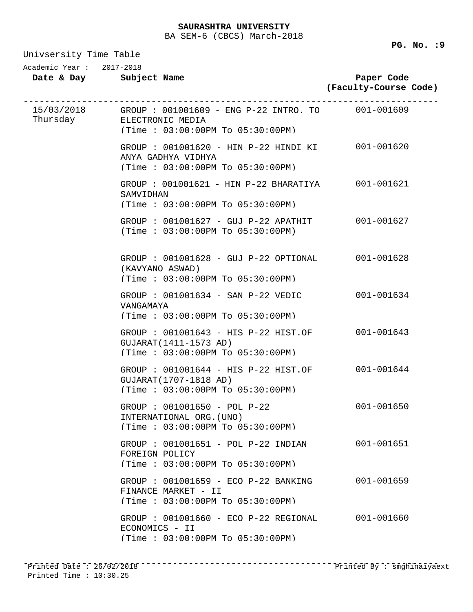Univsersity Time Table

| Academic Year: 2017-2018 | Date & Day Subject Name                                                                                                       | Paper Code<br>(Faculty-Course Code) |
|--------------------------|-------------------------------------------------------------------------------------------------------------------------------|-------------------------------------|
|                          | 15/03/2018 GROUP: 001001609 - ENG P-22 INTRO. TO 001-001609<br>Thursday ELECTRONIC MEDIA<br>(Time : 03:00:00PM T0 05:30:00PM) |                                     |
|                          | GROUP : 001001620 - HIN P-22 HINDI KI 001-001620<br>ANYA GADHYA VIDHYA<br>(Time: 03:00:00PM To 05:30:00PM)                    |                                     |
|                          | GROUP: 001001621 - HIN P-22 BHARATIYA 001-001621<br>SAMVIDHAN<br>(Time: 03:00:00PM To 05:30:00PM)                             |                                     |
|                          | GROUP : 001001627 - GUJ P-22 APATHIT 001-001627<br>(Time : 03:00:00PM TO 05:30:00PM)                                          |                                     |
|                          | GROUP : 001001628 - GUJ P-22 OPTIONAL 001-001628<br>(KAVYANO ASWAD)<br>(Time: 03:00:00PM To 05:30:00PM)                       |                                     |
|                          | $GROUP$ : $001001634$ - SAN P-22 VEDIC<br>VANGAMAYA<br>(Time: 03:00:00PM To 05:30:00PM)                                       | 001-001634                          |
|                          | GROUP : 001001643 - HIS P-22 HIST.OF<br>GUJARAT (1411-1573 AD)<br>(Time: 03:00:00PM To 05:30:00PM)                            | 001-001643                          |
|                          | GROUP : 001001644 - HIS P-22 HIST.OF 001-001644<br>GUJARAT (1707-1818 AD)<br>(Time: 03:00:00PM To 05:30:00PM)                 |                                     |
|                          | GROUP : 001001650 - POL P-22<br>INTERNATIONAL ORG. (UNO)<br>(Time: 03:00:00PM To 05:30:00PM)                                  | 001-001650                          |
|                          | GROUP : 001001651 - POL P-22 INDIAN<br>FOREIGN POLICY<br>(Time: 03:00:00PM To 05:30:00PM)                                     | 001-001651                          |
|                          | GROUP : 001001659 - ECO P-22 BANKING<br>FINANCE MARKET - II<br>(Time: 03:00:00PM To 05:30:00PM)                               | 001-001659                          |
|                          | GROUP : 001001660 - ECO P-22 REGIONAL<br>ECONOMICS - II<br>(Time: 03:00:00PM To 05:30:00PM)                                   | 001-001660                          |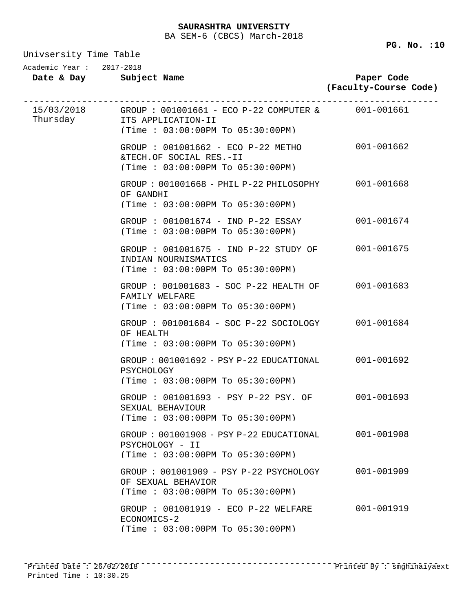**PG. No. :10** 

| Univsersity Time Table   |                                                                                                                                   |                                     |  |  |
|--------------------------|-----------------------------------------------------------------------------------------------------------------------------------|-------------------------------------|--|--|
| Academic Year: 2017-2018 | Date & Day Subject Name                                                                                                           | Paper Code<br>(Faculty-Course Code) |  |  |
|                          | $15/03/2018$ GROUP: 001001661 - ECO P-22 COMPUTER & 001-001661<br>Thursday ITS APPLICATION-II<br>(Time: 03:00:00PM To 05:30:00PM) |                                     |  |  |
|                          | GROUP : 001001662 - ECO P-22 METHO 001-001662<br>&TECH.OF SOCIAL RES.-II<br>(Time: 03:00:00PM To 05:30:00PM)                      |                                     |  |  |
|                          | GROUP: $001001668$ - PHIL P-22 PHILOSOPHY 001-001668<br>OF GANDHI<br>(Time : 03:00:00PM T0 05:30:00PM)                            |                                     |  |  |
|                          | GROUP: 001001674 - IND P-22 ESSAY<br>(Time : 03:00:00PM TO 05:30:00PM)                                                            | 001-001674                          |  |  |
|                          | GROUP : 001001675 - IND P-22 STUDY OF 001-001675<br>INDIAN NOURNISMATICS<br>(Time: 03:00:00PM To 05:30:00PM)                      |                                     |  |  |
|                          | GROUP: 001001683 - SOC P-22 HEALTH OF 001-001683<br>FAMILY WELFARE<br>(Time: 03:00:00PM To 05:30:00PM)                            |                                     |  |  |
|                          | GROUP: 001001684 - SOC P-22 SOCIOLOGY 001-001684<br>OF HEALTH<br>(Time: 03:00:00PM To 05:30:00PM)                                 |                                     |  |  |
|                          | GROUP: 001001692 - PSY P-22 EDUCATIONAL 001-001692<br>PSYCHOLOGY<br>(Time : 03:00:00PM T0 05:30:00PM)                             |                                     |  |  |
|                          | GROUP : 001001693 - PSY P-22 PSY. OF 001-001693<br>SEXUAL BEHAVIOUR<br>(Time : 03:00:00PM T0 05:30:00PM)                          |                                     |  |  |
|                          | $GROUP: 001001908 - PSY P-22 EDUCATIONAL$<br>PSYCHOLOGY - II<br>(Time: 03:00:00PM To 05:30:00PM)                                  | 001-001908                          |  |  |
|                          | $GROUP$ : 001001909 - PSY P-22 PSYCHOLOGY<br>OF SEXUAL BEHAVIOR<br>(Time: 03:00:00PM To 05:30:00PM)                               | $001 - 001909$                      |  |  |
|                          | GROUP : 001001919 - ECO P-22 WELFARE<br>ECONOMICS-2<br>(Time: 03:00:00PM To 05:30:00PM)                                           | 001-001919                          |  |  |

------------------------------------------------------------------------------ Printed Date : 26/02/2018 Printed By : smghinaiyaextPrinted Time : 10:30.25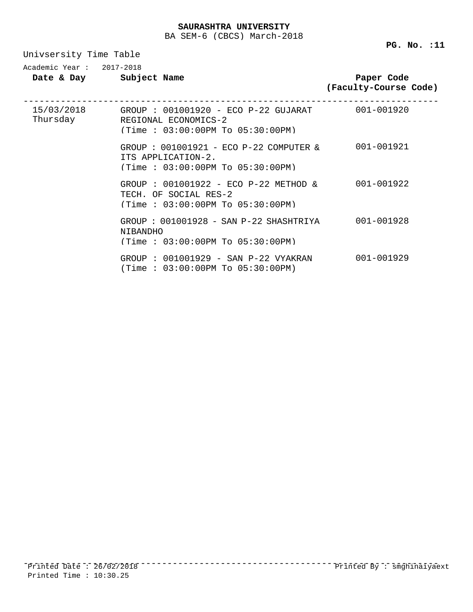Univsersity Time Table

| $Academic$ Year: $2017-2018$ | Date & Day Subject Name                                                                                                | Paper Code<br>(Faculty-Course Code) |
|------------------------------|------------------------------------------------------------------------------------------------------------------------|-------------------------------------|
| Thursday                     | 15/03/2018 GROUP: 001001920 - ECO P-22 GUJARAT 001-001920<br>REGIONAL ECONOMICS-2<br>(Time : 03:00:00PM T0 05:30:00PM) |                                     |
|                              | GROUP : 001001921 - ECO P-22 COMPUTER &<br>ITS APPLICATION-2.<br>(Time : 03:00:00PM TO 05:30:00PM)                     | 001-001921                          |
|                              | GROUP : 001001922 - ECO P-22 METHOD & 001-001922<br>TECH. OF SOCIAL RES-2<br>(Time : 03:00:00PM T0 05:30:00PM)         |                                     |
|                              | GROUP: 001001928 - SAN P-22 SHASHTRIYA<br><b>NIBANDHO</b><br>(Time : 03:00:00PM T0 05:30:00PM)                         | 001-001928                          |
|                              | GROUP: 001001929 - SAN P-22 VYAKRAN<br>(Time: $03:00:00$ PM To $05:30:00$ PM)                                          | 001-001929                          |